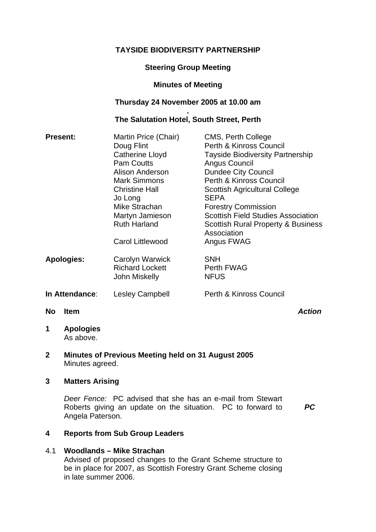# **TAYSIDE BIODIVERSITY PARTNERSHIP**

# **Steering Group Meeting**

## **Minutes of Meeting**

# **Thursday 24 November 2005 at 10.00 am**

#### **. The Salutation Hotel, South Street, Perth**

| <b>Present:</b>          | Martin Price (Chair)    | CMS, Perth College                                           |
|--------------------------|-------------------------|--------------------------------------------------------------|
|                          | Doug Flint              | Perth & Kinross Council                                      |
|                          | Catherine Lloyd         | <b>Tayside Biodiversity Partnership</b>                      |
|                          | <b>Pam Coutts</b>       | Angus Council                                                |
|                          | Alison Anderson         | <b>Dundee City Council</b>                                   |
|                          | <b>Mark Simmons</b>     | Perth & Kinross Council                                      |
|                          | <b>Christine Hall</b>   | <b>Scottish Agricultural College</b>                         |
|                          | Jo Long                 | <b>SEPA</b>                                                  |
|                          | Mike Strachan           | <b>Forestry Commission</b>                                   |
|                          | Martyn Jamieson         | <b>Scottish Field Studies Association</b>                    |
|                          | <b>Ruth Harland</b>     | <b>Scottish Rural Property &amp; Business</b><br>Association |
|                          | <b>Carol Littlewood</b> | Angus FWAG                                                   |
| <b>Apologies:</b>        | Carolyn Warwick         | <b>SNH</b>                                                   |
|                          | <b>Richard Lockett</b>  | Perth FWAG                                                   |
|                          | John Miskelly           | <b>NFUS</b>                                                  |
| In Attendance:           | Lesley Campbell         | Perth & Kinross Council                                      |
| <b>No</b><br><b>Item</b> |                         | <b>Action</b>                                                |

**1 Apologies**  As above.

### **2 Minutes of Previous Meeting held on 31 August 2005**  Minutes agreed.

### **3 Matters Arising**

*Deer Fence:* PC advised that she has an e-mail from Stewart Roberts giving an update on the situation. PC to forward to Angela Paterson.

*PC* 

## **4 Reports from Sub Group Leaders**

#### 4.1 **Woodlands – Mike Strachan**

Advised of proposed changes to the Grant Scheme structure to be in place for 2007, as Scottish Forestry Grant Scheme closing in late summer 2006.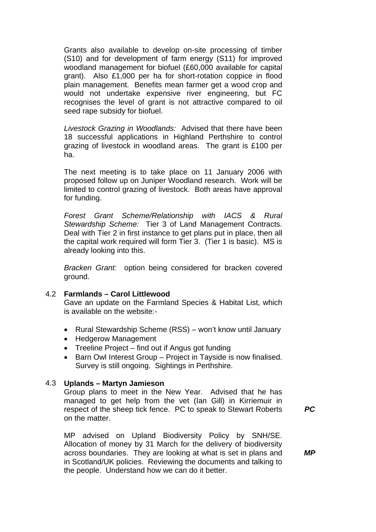Grants also available to develop on-site processing of timber (S10) and for development of farm energy (S11) for improved woodland management for biofuel (£60,000 available for capital grant). Also £1,000 per ha for short-rotation coppice in flood plain management. Benefits mean farmer get a wood crop and would not undertake expensive river engineering, but FC recognises the level of grant is not attractive compared to oil seed rape subsidy for biofuel.

*Livestock Grazing in Woodlands:* Advised that there have been 18 successful applications in Highland Perthshire to control grazing of livestock in woodland areas. The grant is £100 per ha.

The next meeting is to take place on 11 January 2006 with proposed follow up on Juniper Woodland research. Work will be limited to control grazing of livestock. Both areas have approval for funding.

*Forest Grant Scheme/Relationship with IACS & Rural Stewardship Scheme:* Tier 3 of Land Management Contracts. Deal with Tier 2 in first instance to get plans put in place, then all the capital work required will form Tier 3. (Tier 1 is basic). MS is already looking into this.

*Bracken Grant:* option being considered for bracken covered ground.

#### 4.2 **Farmlands – Carol Littlewood**

Gave an update on the Farmland Species & Habitat List, which is available on the website:-

- Rural Stewardship Scheme (RSS) won't know until January
- Hedgerow Management
- Treeline Project find out if Angus got funding
- Barn Owl Interest Group Project in Tayside is now finalised. Survey is still ongoing. Sightings in Perthshire.

#### 4.3 **Uplands – Martyn Jamieson**

Group plans to meet in the New Year. Advised that he has managed to get help from the vet (Ian Gill) in Kirriemuir in respect of the sheep tick fence. PC to speak to Stewart Roberts on the matter.

MP advised on Upland Biodiversity Policy by SNH/SE. Allocation of money by 31 March for the delivery of biodiversity across boundaries. They are looking at what is set in plans and in Scotland/UK policies. Reviewing the documents and talking to the people. Understand how we can do it better.

*PC* 

*MP*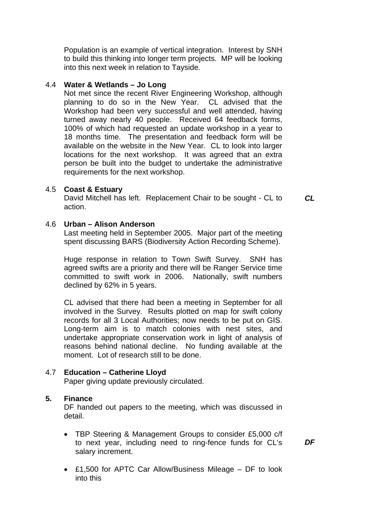Population is an example of vertical integration. Interest by SNH to build this thinking into longer term projects. MP will be looking into this next week in relation to Tayside.

#### 4.4 **Water & Wetlands – Jo Long**

Not met since the recent River Engineering Workshop, although planning to do so in the New Year. CL advised that the Workshop had been very successful and well attended, having turned away nearly 40 people. Received 64 feedback forms, 100% of which had requested an update workshop in a year to 18 months time. The presentation and feedback form will be available on the website in the New Year. CL to look into larger locations for the next workshop. It was agreed that an extra person be built into the budget to undertake the administrative requirements for the next workshop.

#### 4.5 **Coast & Estuary**

David Mitchell has left. Replacement Chair to be sought - CL to action.

### 4.6 **Urban – Alison Anderson**

Last meeting held in September 2005. Major part of the meeting spent discussing BARS (Biodiversity Action Recording Scheme).

Huge response in relation to Town Swift Survey. SNH has agreed swifts are a priority and there will be Ranger Service time committed to swift work in 2006. Nationally, swift numbers declined by 62% in 5 years.

CL advised that there had been a meeting in September for all involved in the Survey. Results plotted on map for swift colony records for all 3 Local Authorities; now needs to be put on GIS. Long-term aim is to match colonies with nest sites, and undertake appropriate conservation work in light of analysis of reasons behind national decline. No funding available at the moment. Lot of research still to be done.

## 4.7 **Education – Catherine Lloyd**

Paper giving update previously circulated.

### **5. Finance**

DF handed out papers to the meeting, which was discussed in detail.

- TBP Steering & Management Groups to consider £5,000 c/f to next year, including need to ring-fence funds for CL's salary increment.
- £1,500 for APTC Car Allow/Business Mileage DF to look into this

*DF* 

*CL*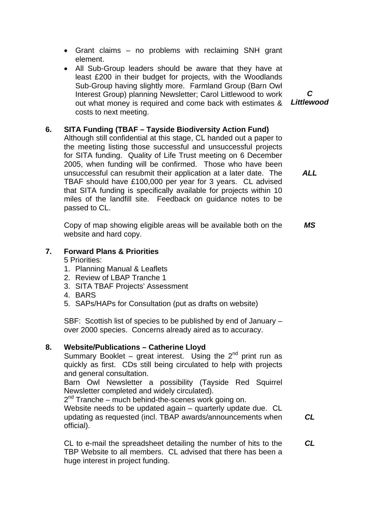- Grant claims no problems with reclaiming SNH grant element.
- All Sub-Group leaders should be aware that they have at least £200 in their budget for projects, with the Woodlands Sub-Group having slightly more. Farmland Group (Barn Owl Interest Group) planning Newsletter; Carol Littlewood to work out what money is required and come back with estimates & costs to next meeting.

# **6. SITA Funding (TBAF – Tayside Biodiversity Action Fund)**

Although still confidential at this stage, CL handed out a paper to the meeting listing those successful and unsuccessful projects for SITA funding. Quality of Life Trust meeting on 6 December 2005, when funding will be confirmed. Those who have been unsuccessful can resubmit their application at a later date. The TBAF should have £100,000 per year for 3 years. CL advised that SITA funding is specifically available for projects within 10 miles of the landfill site. Feedback on guidance notes to be passed to CL. *ALL* 

Copy of map showing eligible areas will be available both on the website and hard copy. *MS* 

## **7. Forward Plans & Priorities**

5 Priorities:

- 1. Planning Manual & Leaflets
- 2. Review of LBAP Tranche 1
- 3. SITA TBAF Projects' Assessment
- 4. BARS
- 5. SAPs/HAPs for Consultation (put as drafts on website)

SBF: Scottish list of species to be published by end of January – over 2000 species. Concerns already aired as to accuracy.

#### **8. Website/Publications – Catherine Lloyd**

Summary Booklet – great interest. Using the  $2^{nd}$  print run as quickly as first. CDs still being circulated to help with projects and general consultation.

Barn Owl Newsletter a possibility (Tayside Red Squirrel Newsletter completed and widely circulated).

 $2<sup>nd</sup>$  Tranche – much behind-the-scenes work going on.

Website needs to be updated again – quarterly update due. CL updating as requested (incl. TBAP awards/announcements when official).

CL to e-mail the spreadsheet detailing the number of hits to the TBP Website to all members. CL advised that there has been a huge interest in project funding.

*CL* 

*CL* 

*Littlewood* 

*C*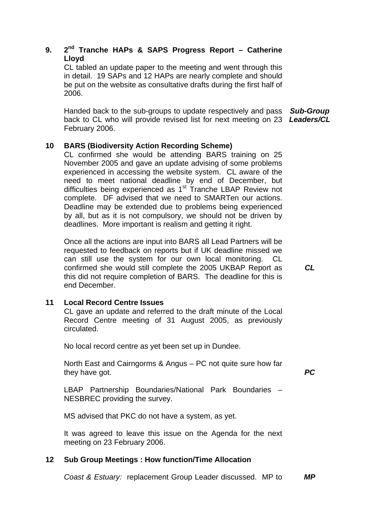# **9. 2nd Tranche HAPs & SAPS Progress Report – Catherine Lloyd**

CL tabled an update paper to the meeting and went through this in detail. 19 SAPs and 12 HAPs are nearly complete and should be put on the website as consultative drafts during the first half of 2006.

Handed back to the sub-groups to update respectively and pass *Sub-Group*  back to CL who will provide revised list for next meeting on 23 *Leaders/CL* February 2006.

## **10 BARS (Biodiversity Action Recording Scheme)**

CL confirmed she would be attending BARS training on 25 November 2005 and gave an update advising of some problems experienced in accessing the website system. CL aware of the need to meet national deadline by end of December, but difficulties being experienced as  $1<sup>st</sup>$  Tranche LBAP Review not complete. DF advised that we need to SMARTen our actions. Deadline may be extended due to problems being experienced by all, but as it is not compulsory, we should not be driven by deadlines. More important is realism and getting it right.

Once all the actions are input into BARS all Lead Partners will be requested to feedback on reports but if UK deadline missed we can still use the system for our own local monitoring. CL confirmed she would still complete the 2005 UKBAP Report as this did not require completion of BARS. The deadline for this is end December.

## **11 Local Record Centre Issues**

CL gave an update and referred to the draft minute of the Local Record Centre meeting of 31 August 2005, as previously circulated.

No local record centre as yet been set up in Dundee.

North East and Cairngorms & Angus – PC not quite sure how far they have got.

LBAP Partnership Boundaries/National Park Boundaries – NESBREC providing the survey.

MS advised that PKC do not have a system, as yet.

It was agreed to leave this issue on the Agenda for the next meeting on 23 February 2006.

## **12 Sub Group Meetings : How function/Time Allocation**

*Coast & Estuary:* replacement Group Leader discussed. MP to *MP* 

*CL* 

*PC*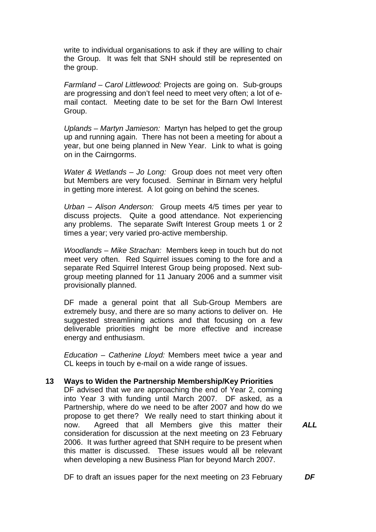write to individual organisations to ask if they are willing to chair the Group. It was felt that SNH should still be represented on the group.

*Farmland – Carol Littlewood:* Projects are going on. Sub-groups are progressing and don't feel need to meet very often; a lot of email contact. Meeting date to be set for the Barn Owl Interest Group.

*Uplands – Martyn Jamieson:* Martyn has helped to get the group up and running again. There has not been a meeting for about a year, but one being planned in New Year. Link to what is going on in the Cairngorms.

*Water & Wetlands – Jo Long:* Group does not meet very often but Members are very focused. Seminar in Birnam very helpful in getting more interest. A lot going on behind the scenes.

*Urban – Alison Anderson:* Group meets 4/5 times per year to discuss projects. Quite a good attendance. Not experiencing any problems. The separate Swift Interest Group meets 1 or 2 times a year; very varied pro-active membership.

*Woodlands – Mike Strachan:* Members keep in touch but do not meet very often. Red Squirrel issues coming to the fore and a separate Red Squirrel Interest Group being proposed. Next subgroup meeting planned for 11 January 2006 and a summer visit provisionally planned.

DF made a general point that all Sub-Group Members are extremely busy, and there are so many actions to deliver on. He suggested streamlining actions and that focusing on a few deliverable priorities might be more effective and increase energy and enthusiasm.

*Education – Catherine Lloyd:* Members meet twice a year and CL keeps in touch by e-mail on a wide range of issues.

#### **13 Ways to Widen the Partnership Membership/Key Priorities**

DF advised that we are approaching the end of Year 2, coming into Year 3 with funding until March 2007. DF asked, as a Partnership, where do we need to be after 2007 and how do we propose to get there? We really need to start thinking about it now. Agreed that all Members give this matter their consideration for discussion at the next meeting on 23 February 2006. It was further agreed that SNH require to be present when this matter is discussed. These issues would all be relevant when developing a new Business Plan for beyond March 2007.

*ALL* 

DF to draft an issues paper for the next meeting on 23 February *DF*